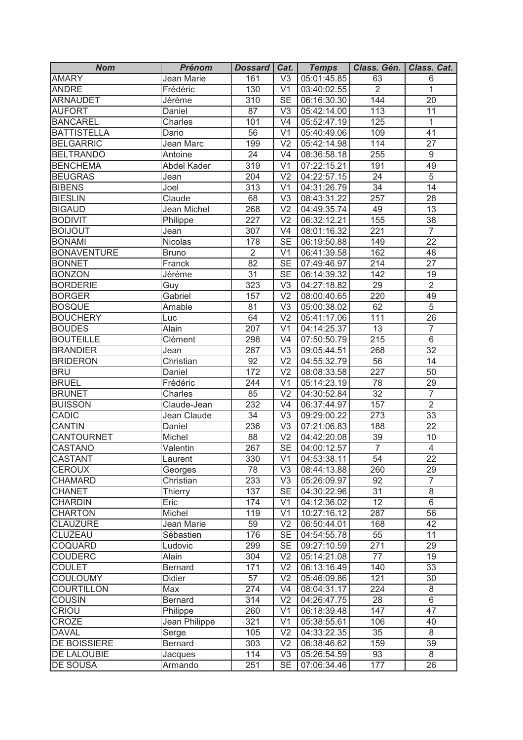| <b>Nom</b>                   | <b>Prénom</b>             | Dossard   Cat.  |                                  | <b>Temps</b>               | Class. Gén.      | Class. Cat.     |
|------------------------------|---------------------------|-----------------|----------------------------------|----------------------------|------------------|-----------------|
| <b>AMARY</b>                 | Jean Marie                | 161             | $\overline{\vee}$                | 05:01:45.85                | 63               | 6               |
| <b>ANDRE</b>                 | Frédéric                  | 130             | $\overline{\vee}$ 1              | 03:40:02.55                | $\overline{2}$   | $\mathbf{1}$    |
| <b>ARNAUDET</b>              | Jérème                    | 310             | $\overline{\text{SE}}$           | 06:16:30.30                | 144              | $\overline{20}$ |
| <b>AUFORT</b>                | Daniel                    | 87              | V <sub>3</sub>                   | 05:42:14.00                | 113              | 11              |
| <b>BANCAREL</b>              | Charles                   | 101             | V <sub>4</sub>                   | 05:52:47.19                | 125              | $\mathbf{1}$    |
| <b>BATTISTELLA</b>           | Dario                     | 56              | V <sub>1</sub>                   | 05:40:49.06                | 109              | 41              |
| <b>BELGARRIC</b>             | Jean Marc                 | 199             | V <sub>2</sub>                   | 05:42:14.98                | 114              | 27              |
| <b>BELTRANDO</b>             | Antoine                   | 24              | V <sub>4</sub>                   | 08:36:58.18                | 255              | $\overline{9}$  |
| <b>BENCHEMA</b>              | Abdel Kader               | 319             | V <sub>1</sub>                   | 07:22:15.21                | 191              | 49              |
| <b>BEUGRAS</b>               | Jean                      | 204             | V <sub>2</sub>                   | 04:22:57.15                | 24               | $\overline{5}$  |
| <b>BIBENS</b>                | Joel                      | 313             | V <sub>1</sub>                   | 04:31:26.79                | 34               | 14              |
| <b>BIESLIN</b>               | Claude                    | 68              | V <sub>3</sub>                   | 08:43:31.22                | 257              | 28              |
| <b>BIGAUD</b>                | Jean Michel               | 268             | $\overline{V2}$                  | 04:49:35.74                | 49               | 13              |
| <b>BODIVIT</b>               | Philippe                  | 227             | V <sub>2</sub>                   | 06:32:12.21                | 155              | 38              |
| <b>BOIJOUT</b>               | Jean                      | 307             | V <sub>4</sub>                   | 08:01:16.32                | 221              | $\overline{7}$  |
| <b>BONAMI</b>                | Nicolas                   | 178             | <b>SE</b>                        | 06:19:50.88                | 149              | $\overline{22}$ |
| <b>BONAVENTURE</b>           | <b>Bruno</b>              | $\overline{2}$  | V <sub>1</sub>                   | 06:41:39.58                | 162              | 48              |
| <b>BONNET</b>                | Franck                    | 82              | <b>SE</b>                        | 07:49:46.97                | 214              | 27              |
| <b>BONZON</b>                | Jérème                    | 31              | <b>SE</b>                        | 06:14:39.32                | 142              | 19              |
| <b>BORDERIE</b>              | Guy                       | 323             | V <sub>3</sub>                   | 04:27:18.82                | 29               | $\overline{2}$  |
| <b>BORGER</b>                | Gabriel                   | 157             | V <sub>2</sub>                   | 08:00:40.65                | 220              | 49              |
| <b>BOSQUE</b>                | Amable                    | 81              | V <sub>3</sub>                   | 05:00:38.02                | 62               | $\overline{5}$  |
| <b>BOUCHERY</b>              | Luc                       | 64              | V <sub>2</sub>                   | 05:41:17.06                | 111              | 26              |
| <b>BOUDES</b>                | Alain                     | 207             | V <sub>1</sub>                   | 04:14:25.37                | 13               | $\overline{7}$  |
| <b>BOUTEILLE</b>             | Clément                   | 298             | V <sub>4</sub>                   | 07:50:50.79                | 215              | $\,6$           |
| <b>BRANDIER</b>              | Jean                      | 287             | V <sub>3</sub>                   | 09:05:44.51                | 268              | 32              |
| <b>BRIDERON</b>              | Christian                 | $\overline{92}$ | $\overline{V2}$                  | 04:55:32.79                | 56               | 14              |
| <b>BRU</b>                   | Daniel                    | 172             | $\overline{V2}$                  | 08:08:33.58                | $\overline{227}$ | 50              |
| <b>BRUEL</b>                 | Frédéric                  | 244             | $\overline{\vee}$ 1              | 05:14:23.19                | 78               | 29              |
| <b>BRUNET</b>                | Charles                   | 85              | $\overline{\vee}$                | 04:30:52.84                | $\overline{32}$  | $\overline{7}$  |
| <b>BUISSON</b>               | Claude-Jean               | 232             | V <sub>4</sub>                   | 06:37:44.97                | 157              | $\overline{2}$  |
| <b>CADIC</b>                 | Jean Claude               | $\overline{34}$ | V <sub>3</sub>                   | 09:29:00.22                | $\overline{273}$ | $\overline{33}$ |
| <b>CANTIN</b>                | Daniel                    | 236             | V <sub>3</sub>                   | 07:21:06.83                | 188              | $\overline{22}$ |
| CANTOURNET                   | Michel                    | 88              | V <sub>2</sub>                   | 04:42:20.08                | 39               | 10              |
| CASTANO                      | Valentin                  | 267             | <b>SE</b>                        | 04:00:12.57                | $\overline{7}$   | $\overline{4}$  |
| <b>CASTANT</b>               | Laurent                   | 330             | $\overline{V1}$                  | 04:53:38.11                | $\overline{54}$  | $\overline{22}$ |
| <b>CEROUX</b>                | Georges                   | 78              | V <sub>3</sub>                   | 08:44:13.88                | 260              | 29              |
| <b>CHAMARD</b>               | Christian                 | 233             | V <sub>3</sub>                   | 05:26:09.97                | 92               | 7               |
| <b>CHANET</b>                | Thierry                   | 137             | <b>SE</b>                        | 04:30:22.96                | 31               | 8               |
| <b>CHARDIN</b>               | Eric                      | 174             | V <sub>1</sub>                   | 04:12:36.02                | 12 <sup>2</sup>  | 6               |
| <b>CHARTON</b>               | Michel                    | 119             | V <sub>1</sub>                   | 10:27:16.12                | 287              | 56              |
| <b>CLAUZURE</b>              | Jean Marie                | 59              | V <sub>2</sub>                   | 06:50:44.01                | 168              | 42              |
| <b>CLUZEAU</b>               | Sébastien                 | 176             | <b>SE</b>                        | 04:54:55.78                | 55               | 11              |
| <b>COQUARD</b>               | Ludovic                   | 299             | <b>SE</b>                        | 09:27:10.59                | 271              | 29              |
| <b>COUDERC</b>               | Alain                     | 304             | V <sub>2</sub>                   | 05:14:21.08                | 77               | 19              |
| <b>COULET</b>                | Bernard                   | 171             | V <sub>2</sub>                   | 06:13:16.49                | 140              | 33              |
| <b>COULOUMY</b>              | Didier                    | 57              | V <sub>2</sub>                   | 05:46:09.86                | 121              | 30              |
| <b>COURTILLON</b>            | Max                       | 274             | V <sub>4</sub>                   | 08:04:31.17                | 224              | 8               |
| <b>COUSIN</b>                | Bernard                   | 314             | V <sub>2</sub>                   | 04:26:47.75                | 28               | $\overline{6}$  |
|                              |                           |                 | V <sub>1</sub>                   |                            | 147              | 47              |
| CRIOU<br>CROZE               | Philippe<br>Jean Philippe | 260<br>321      | V <sub>1</sub>                   | 06:18:39.48<br>05:38:55.61 | 106              | 40              |
|                              |                           |                 |                                  |                            |                  | 8               |
| <b>DAVAL</b><br>DE BOISSIERE | Serge                     | 105<br>303      | V <sub>2</sub><br>V <sub>2</sub> | 04:33:22.35                | 35<br>159        | 39              |
| <b>DE LALOUBIE</b>           | Bernard                   | 114             | V <sub>3</sub>                   | 06:38:46.62                | 93               | 8               |
| <b>DE SOUSA</b>              | Jacques                   | 251             | <b>SE</b>                        | 05:26:54.59                | 177              | 26              |
|                              | Armando                   |                 |                                  | 07:06:34.46                |                  |                 |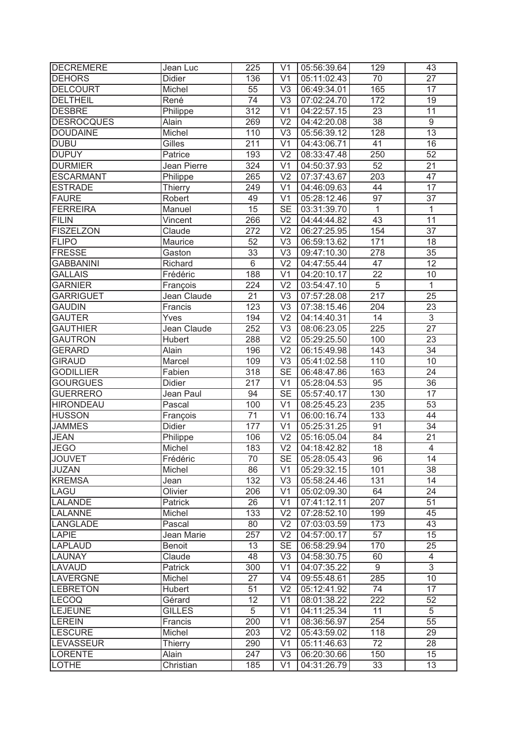| <b>DECREMERE</b>  | Jean Luc       | 225              | V <sub>1</sub>         | 05:56:39.64 | 129              | 43              |
|-------------------|----------------|------------------|------------------------|-------------|------------------|-----------------|
| <b>DEHORS</b>     | <b>Didier</b>  | 136              | $\overline{\vee}$ 1    | 05:11:02.43 | $\overline{70}$  | $\overline{27}$ |
| <b>DELCOURT</b>   | Michel         | $\overline{55}$  | $\overline{\vee}$      | 06:49:34.01 | 165              | $\overline{17}$ |
| <b>DELTHEIL</b>   | René           | $\overline{74}$  | V <sub>3</sub>         | 07:02:24.70 | 172              | $\overline{19}$ |
| <b>DESBRE</b>     | Philippe       | 312              | V <sub>1</sub>         | 04:22:57.15 | 23               | 11              |
| <b>DESROCQUES</b> | Alain          | 269              | V <sub>2</sub>         | 04:42:20.08 | $\overline{38}$  | $\overline{9}$  |
| <b>DOUDAINE</b>   | Michel         | 110              | V <sub>3</sub>         | 05:56:39.12 | 128              | $\overline{13}$ |
| <b>DUBU</b>       | Gilles         | 211              | V <sub>1</sub>         | 04:43:06.71 | 41               | 16              |
| <b>DUPUY</b>      | Patrice        | 193              | V <sub>2</sub>         | 08:33:47.48 | 250              | 52              |
| <b>DURMIER</b>    | Jean Pierre    | 324              | $\overline{\vee}$ 1    | 04:50:37.93 | 52               | $\overline{21}$ |
| <b>ESCARMANT</b>  | Philippe       | 265              | V <sub>2</sub>         | 07:37:43.67 | 203              | 47              |
| <b>ESTRADE</b>    | Thierry        | 249              | V <sub>1</sub>         | 04:46:09.63 | 44               | $\overline{17}$ |
| <b>FAURE</b>      | Robert         | 49               | V <sub>1</sub>         | 05:28:12.46 | $\overline{97}$  | 37              |
| <b>FERREIRA</b>   | Manuel         | $\overline{15}$  | <b>SE</b>              | 03:31:39.70 | $\overline{1}$   | $\overline{1}$  |
| <b>FILIN</b>      | Vincent        | 266              | V <sub>2</sub>         | 04:44:44.82 | $\overline{43}$  | $\overline{11}$ |
| <b>FISZELZON</b>  | Claude         | 272              | V <sub>2</sub>         | 06:27:25.95 | 154              | $\overline{37}$ |
| <b>FLIPO</b>      | Maurice        | 52               | V3                     | 06:59:13.62 | 171              | 18              |
| <b>FRESSE</b>     | Gaston         | $\overline{33}$  | V <sub>3</sub>         | 09:47:10.30 | 278              | $\overline{35}$ |
| <b>GABBANINI</b>  | Richard        | $\overline{6}$   | V <sub>2</sub>         | 04:47:55.44 | 47               | 12              |
| <b>GALLAIS</b>    | Frédéric       | 188              | V <sub>1</sub>         | 04:20:10.17 | 22               | 10              |
| <b>GARNIER</b>    | François       | 224              | V <sub>2</sub>         | 03:54:47.10 | 5                | 1               |
| <b>GARRIGUET</b>  | Jean Claude    | 21               | V <sub>3</sub>         | 07:57:28.08 | $\overline{217}$ | 25              |
| <b>GAUDIN</b>     | Francis        | 123              | V <sub>3</sub>         | 07:38:15.46 | 204              | 23              |
| <b>GAUTER</b>     | Yves           | 194              | V <sub>2</sub>         | 04:14:40.31 | 14               | $\overline{3}$  |
| <b>GAUTHIER</b>   | Jean Claude    | 252              | V <sub>3</sub>         | 08:06:23.05 | 225              | 27              |
| <b>GAUTRON</b>    | Hubert         | 288              | $\overline{V2}$        | 05:29:25.50 | 100              | $\overline{23}$ |
| <b>GERARD</b>     | Alain          | 196              | $\overline{\vee}$      | 06:15:49.98 | 143              | 34              |
| <b>GIRAUD</b>     | Marcel         | 109              | $\overline{\vee}$      | 05:41:02.58 | 110              | $\overline{10}$ |
| <b>GODILLIER</b>  | Fabien         | $\overline{318}$ | $\overline{\text{SE}}$ | 06:48:47.86 | 163              | 24              |
| <b>GOURGUES</b>   | Didier         | $\overline{217}$ | V <sub>1</sub>         | 05:28:04.53 | 95               | $\overline{36}$ |
| <b>GUERRERO</b>   | Jean Paul      | 94               | $\overline{\text{SE}}$ | 05:57:40.17 | 130              | $\overline{17}$ |
| <b>HIRONDEAU</b>  | Pascal         | 100              | $\overline{\vee}$ 1    | 08:25:45.23 | 235              | $\overline{53}$ |
| <b>HUSSON</b>     | François       | $\overline{71}$  | $\overline{\vee}$ 1    | 06:00:16.74 | 133              | 44              |
| <b>JAMMES</b>     | <b>Didier</b>  | 177              | $\overline{\vee}$ 1    | 05:25:31.25 | 91               | $\overline{34}$ |
| <b>JEAN</b>       | Philippe       | 106              | V <sub>2</sub>         | 05:16:05.04 | 84               | $\overline{21}$ |
| <b>JEGO</b>       | Michel         | 183              | V <sub>2</sub>         | 04:18:42.82 | 18               | $\overline{4}$  |
| <b>JOUVET</b>     | Frédéric       | 70               | SE                     | 05:28:05.43 | 96               | 14              |
| JUZAN             | Michel         | 86               | V <sub>1</sub>         | 05:29:32.15 | 101              | 38              |
| <b>KREMSA</b>     | Jean           | 132              | V <sub>3</sub>         | 05:58:24.46 | 131              | 14              |
| LAGU              | Olivier        | 206              | V <sub>1</sub>         | 05:02:09.30 | 64               | 24              |
| LALANDE           | Patrick        | 26               | V <sub>1</sub>         | 07:41:12.11 | 207              | 51              |
| <b>LALANNE</b>    | Michel         | 133              | V <sub>2</sub>         | 07:28:52.10 | 199              | 45              |
| LANGLADE          | Pascal         | 80               | V <sub>2</sub>         | 07:03:03.59 | 173              | 43              |
| <b>LAPIE</b>      | Jean Marie     | 257              | V <sub>2</sub>         | 04:57:00.17 | 57               | 15              |
| <b>LAPLAUD</b>    | <b>Benoit</b>  | 13               | <b>SE</b>              | 06:58:29.94 | 170              | 25              |
| <b>LAUNAY</b>     | Claude         | 48               | V <sub>3</sub>         | 04:58:30.75 | 60               | 4               |
| <b>LAVAUD</b>     | Patrick        | 300              | V <sub>1</sub>         | 04:07:35.22 | 9                | $\overline{3}$  |
| LAVERGNE          | Michel         | 27               | V <sub>4</sub>         | 09:55:48.61 | 285              | 10              |
| <b>LEBRETON</b>   | Hubert         | 51               | V <sub>2</sub>         | 05:12:41.92 | 74               | 17              |
| LECOQ             | Gérard         | 12               | V <sub>1</sub>         | 08:01:38.22 | 222              | 52              |
| LEJEUNE           | <b>GILLES</b>  | $\overline{5}$   | V <sub>1</sub>         | 04:11:25.34 | 11               | 5               |
| LEREIN            | Francis        | 200              | V <sub>1</sub>         | 08:36:56.97 | 254              | 55              |
| <b>LESCURE</b>    | Michel         | 203              | V <sub>2</sub>         | 05:43:59.02 | 118              | 29              |
| <b>LEVASSEUR</b>  | <b>Thierry</b> | 290              | V <sub>1</sub>         | 05:11:46.63 | 72               | 28              |
| <b>LORENTE</b>    | Alain          | 247              | V <sub>3</sub>         | 06:20:30.66 | 150              | 15              |
| <b>LOTHE</b>      | Christian      | 185              | V <sub>1</sub>         | 04:31:26.79 | 33               | 13              |
|                   |                |                  |                        |             |                  |                 |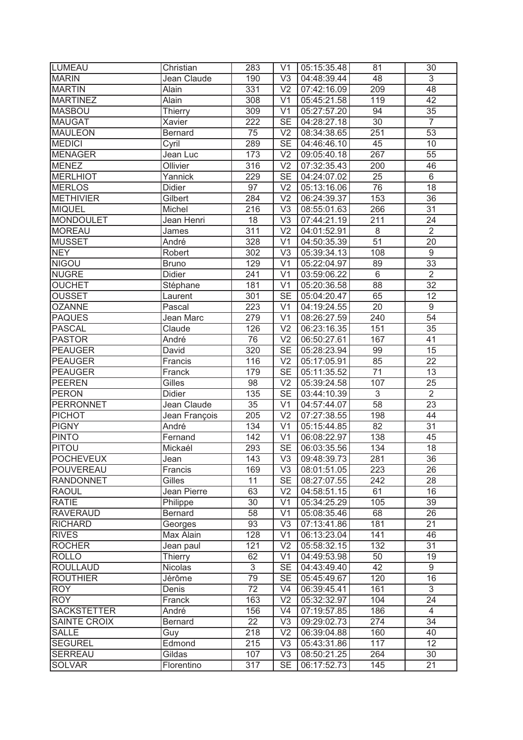| <b>LUMEAU</b>      | Christian     | 283              | V <sub>1</sub>         | 05:15:35.48 | 81              | 30              |
|--------------------|---------------|------------------|------------------------|-------------|-----------------|-----------------|
| <b>MARIN</b>       | Jean Claude   | 190              | $\overline{\vee}$      | 04:48:39.44 | 48              | $\overline{3}$  |
| <b>MARTIN</b>      | Alain         | 331              | $\overline{\vee}$      | 07:42:16.09 | 209             | 48              |
| <b>MARTINEZ</b>    | Alain         | 308              | V <sub>1</sub>         | 05:45:21.58 | 119             | 42              |
| <b>MASBOU</b>      | Thierry       | 309              | V <sub>1</sub>         | 05:27:57.20 | 94              | 35              |
| <b>MAUGAT</b>      | Xavier        | 222              | <b>SE</b>              | 04:28:27.18 | 30              | $\overline{7}$  |
| <b>MAULEON</b>     | Bernard       | 75               | V <sub>2</sub>         | 08:34:38.65 | 251             | 53              |
| <b>MEDICI</b>      | Cyril         | 289              | <b>SE</b>              | 04:46:46.10 | 45              | 10              |
| <b>MENAGER</b>     | Jean Luc      | 173              | V <sub>2</sub>         | 09:05:40.18 | 267             | 55              |
| <b>MENEZ</b>       | Ollivier      | 316              | $\overline{V2}$        | 07:32:35.43 | 200             | 46              |
| <b>MERLHIOT</b>    | Yannick       | 229              | $\overline{\text{SE}}$ | 04:24:07.02 | 25              | $\overline{6}$  |
| <b>MERLOS</b>      | <b>Didier</b> | 97               | V <sub>2</sub>         | 05:13:16.06 | $\overline{76}$ | $\overline{18}$ |
| <b>METHIVIER</b>   | Gilbert       | 284              | V <sub>2</sub>         | 06:24:39.37 | 153             | 36              |
| <b>MIQUEL</b>      | Michel        | 216              | V <sub>3</sub>         | 08:55:01.63 | 266             | $\overline{31}$ |
| <b>MONDOULET</b>   | Jean Henri    | 18               | V <sub>3</sub>         | 07:44:21.19 | 211             | 24              |
| <b>MOREAU</b>      | James         | 311              | V <sub>2</sub>         | 04:01:52.91 | $\,8\,$         | $\overline{2}$  |
| <b>MUSSET</b>      | André         | 328              | V <sub>1</sub>         | 04:50:35.39 | 51              | 20              |
| <b>NEY</b>         | Robert        | 302              | V <sub>3</sub>         | 05:39:34.13 | 108             | $9\,$           |
| <b>NIGOU</b>       | <b>Bruno</b>  | 129              | V <sub>1</sub>         | 05:22:04.97 | 89              | 33              |
| <b>NUGRE</b>       | <b>Didier</b> | 241              | V <sub>1</sub>         | 03:59:06.22 | 6               | $\overline{2}$  |
| <b>OUCHET</b>      | Stéphane      | 181              | V <sub>1</sub>         | 05:20:36.58 | 88              | 32              |
| <b>OUSSET</b>      | Laurent       | 301              | <b>SE</b>              | 05:04:20.47 | 65              | 12              |
| <b>OZANNE</b>      | Pascal        | 223              | V <sub>1</sub>         | 04:19:24.55 | 20              | 9               |
| <b>PAQUES</b>      | Jean Marc     | 279              | V <sub>1</sub>         | 08:26:27.59 | 240             | 54              |
| <b>PASCAL</b>      | Claude        | 126              | V <sub>2</sub>         | 06:23:16.35 | 151             | 35              |
| <b>PASTOR</b>      | André         | 76               | $\overline{V2}$        | 06:50:27.61 | 167             | 41              |
| <b>PEAUGER</b>     | David         | 320              | $\overline{\text{SE}}$ | 05:28:23.94 | 99              | 15              |
| <b>PEAUGER</b>     | Francis       | 116              | $\overline{\vee}$      | 05:17:05.91 | 85              | $\overline{22}$ |
| <b>PEAUGER</b>     | Franck        | 179              | $\overline{\text{SE}}$ | 05:11:35.52 | $\overline{71}$ | 13              |
| <b>PEEREN</b>      | Gilles        | 98               | V <sub>2</sub>         | 05:39:24.58 | 107             | $\overline{25}$ |
| <b>PERON</b>       | <b>Didier</b> | 135              | $\overline{\text{SE}}$ | 03:44:10.39 | $\overline{3}$  | $\overline{2}$  |
| <b>PERRONNET</b>   | Jean Claude   | $\overline{35}$  | $\overline{\vee}$ 1    | 04:57:44.07 | 58              | $\overline{23}$ |
| <b>PICHOT</b>      | Jean François | $\overline{205}$ | $\overline{\vee}$      | 07:27:38.55 | 198             | 44              |
| <b>PIGNY</b>       | André         | 134              | $\overline{\vee}$ 1    | 05:15:44.85 | 82              | $\overline{31}$ |
| <b>PINTO</b>       | Fernand       | 142              | V <sub>1</sub>         | 06:08:22.97 | 138             | 45              |
| <b>PITOU</b>       | Mickaél       | 293              | <b>SE</b>              | 06:03:35.56 | 134             | 18              |
| <b>POCHEVEUX</b>   | Jean          | 143              | V3                     | 09:48:39.73 | 281             | 36              |
| <b>POUVEREAU</b>   | Francis       | 169              | V <sub>3</sub>         | 08:01:51.05 | 223             | 26              |
| <b>RANDONNET</b>   | Gilles        | 11               | <b>SE</b>              | 08:27:07.55 | 242             | 28              |
| <b>RAOUL</b>       | Jean Pierre   | 63               | V <sub>2</sub>         | 04:58:51.15 | 61              | 16              |
| <b>RATIE</b>       | Philippe      | 30               | V <sub>1</sub>         | 05:34:25.29 | 105             | 39              |
| <b>RAVERAUD</b>    | Bernard       | 58               | V <sub>1</sub>         | 05:08:35.46 | 68              | 26              |
| <b>RICHARD</b>     | Georges       | 93               | V <sub>3</sub>         | 07:13:41.86 | 181             | 21              |
| <b>RIVES</b>       | Max Alain     | 128              | V <sub>1</sub>         | 06:13:23.04 | 141             | 46              |
| <b>ROCHER</b>      | Jean paul     | 121              | V <sub>2</sub>         | 05:58:32.15 | 132             | 31              |
| <b>ROLLO</b>       | Thierry       | 62               | V <sub>1</sub>         | 04:49:53.98 | 50              | 19              |
| <b>ROULLAUD</b>    | Nicolas       | $\overline{3}$   | <b>SE</b>              | 04:43:49.40 | 42              | $\overline{9}$  |
| <b>ROUTHIER</b>    | Jérôme        | 79               | <b>SE</b>              | 05:45:49.67 | 120             | 16              |
| <b>ROY</b>         | Denis         | 72               | V <sub>4</sub>         | 06:39:45.41 | 161             | $\overline{3}$  |
| <b>ROY</b>         | Franck        | 163              | V <sub>2</sub>         | 05:32:32.97 | 104             | 24              |
| <b>SACKSTETTER</b> | André         | 156              | V <sub>4</sub>         | 07:19:57.85 | 186             | 4               |
| SAINTE CROIX       | Bernard       | 22               | V <sub>3</sub>         | 09:29:02.73 | 274             | 34              |
| <b>SALLE</b>       | Guy           | 218              | V <sub>2</sub>         | 06:39:04.88 | 160             | 40              |
| <b>SEGUREL</b>     | Edmond        | 215              | V <sub>3</sub>         | 05:43:31.86 | 117             | 12              |
| <b>SERREAU</b>     | Gildas        | 107              | V <sub>3</sub>         | 08:50:21.25 | 264             | 30              |
| <b>SOLVAR</b>      | Florentino    | 317              | SE                     | 06:17:52.73 | 145             | 21              |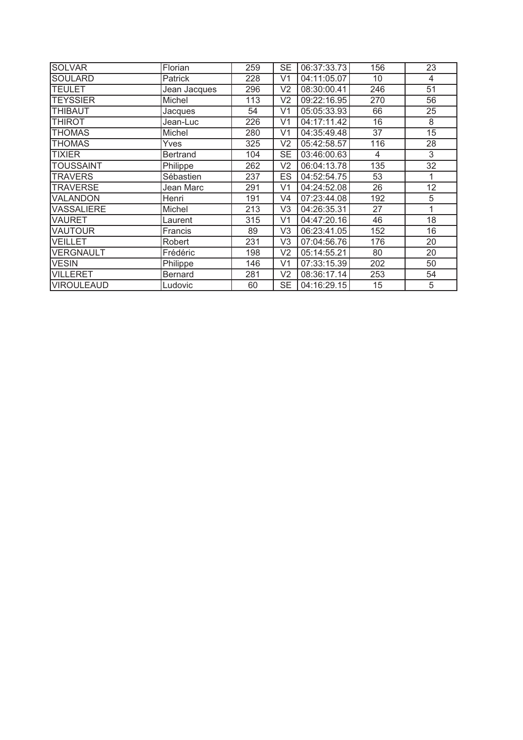| <b>SOLVAR</b>     | Florian         | 259 | <b>SE</b>      | 06:37:33.73 | 156             | 23              |
|-------------------|-----------------|-----|----------------|-------------|-----------------|-----------------|
| <b>SOULARD</b>    | Patrick         | 228 | V1             | 04:11:05.07 | 10 <sup>°</sup> | 4               |
| <b>TEULET</b>     | Jean Jacques    | 296 | V <sub>2</sub> | 08:30:00.41 | 246             | $\overline{51}$ |
| <b>TEYSSIER</b>   | Michel          | 113 | V2             | 09:22:16.95 | 270             | 56              |
| <b>THIBAUT</b>    | Jacques         | 54  | V <sub>1</sub> | 05:05:33.93 | 66              | 25              |
| THIROT            | Jean-Luc        | 226 | V1             | 04:17:11.42 | 16              | 8               |
| THOMAS            | Michel          | 280 | V1             | 04:35:49.48 | 37              | 15              |
| <b>THOMAS</b>     | Yves            | 325 | V2             | 05:42:58.57 | 116             | 28              |
| TIXIER            | <b>Bertrand</b> | 104 | <b>SE</b>      | 03:46:00.63 | 4               | 3               |
| <b>TOUSSAINT</b>  | Philippe        | 262 | V <sub>2</sub> | 06:04:13.78 | 135             | 32              |
| <b>TRAVERS</b>    | Sébastien       | 237 | <b>ES</b>      | 04:52:54.75 | 53              |                 |
| <b>TRAVERSE</b>   | Jean Marc       | 291 | V <sub>1</sub> | 04:24:52.08 | 26              | 12              |
| VALANDON          | Henri           | 191 | V4             | 07:23:44.08 | 192             | 5               |
| VASSALIERE        | Michel          | 213 | V <sub>3</sub> | 04:26:35.31 | 27              | 1               |
| VAURET            | Laurent         | 315 | V1             | 04:47:20.16 | 46              | 18              |
| VAUTOUR           | Francis         | 89  | V <sub>3</sub> | 06:23:41.05 | 152             | 16              |
| <b>VEILLET</b>    | Robert          | 231 | V <sub>3</sub> | 07:04:56.76 | 176             | 20              |
| VERGNAULT         | Frédéric        | 198 | V2             | 05:14:55.21 | 80              | 20              |
| <b>VESIN</b>      | Philippe        | 146 | V <sub>1</sub> | 07:33:15.39 | 202             | 50              |
| <b>VILLERET</b>   | Bernard         | 281 | V <sub>2</sub> | 08:36:17.14 | 253             | 54              |
| <b>VIROULEAUD</b> | Ludovic         | 60  | <b>SE</b>      | 04:16:29.15 | 15              | 5               |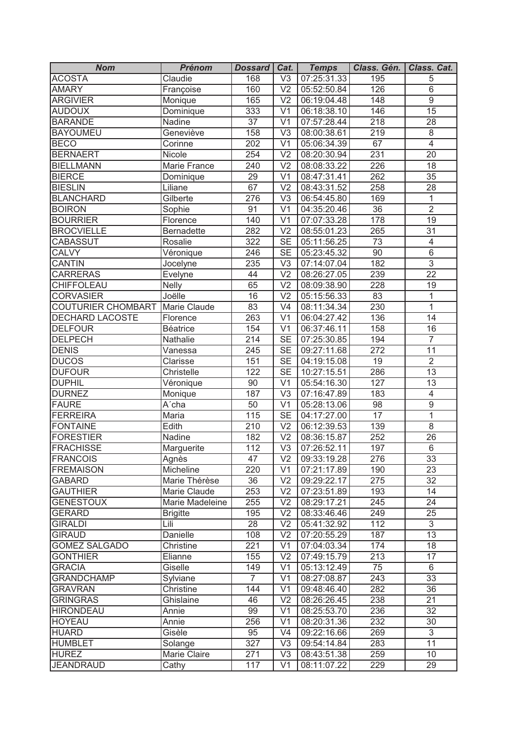| <b>Nom</b>                     | <b>Prénom</b>     | Dossard          | Cat.                     | <b>Temps</b> | Class. Gén.      | Class. Cat.     |
|--------------------------------|-------------------|------------------|--------------------------|--------------|------------------|-----------------|
| <b>ACOSTA</b>                  | Claudie           | 168              | $\overline{\vee}$        | 07:25:31.33  | 195              | 5               |
| <b>AMARY</b>                   | Françoise         | 160              | $\overline{\vee}$        | 05:52:50.84  | 126              | 6               |
| <b>ARGIVIER</b>                | Monique           | 165              | $\overline{\vee}$        | 06:19:04.48  | 148              | $\overline{9}$  |
| <b>AUDOUX</b>                  | Dominique         | 333              | V <sub>1</sub>           | 06:18:38.10  | 146              | $\overline{15}$ |
| <b>BARANDE</b>                 | Nadine            | 37               | V <sub>1</sub>           | 07:57:28.44  | 218              | 28              |
| <b>BAYOUMEU</b>                | Geneviève         | 158              | V <sub>3</sub>           | 08:00:38.61  | 219              | $\,8\,$         |
| <b>BECO</b>                    | Corinne           | 202              | V <sub>1</sub>           | 05:06:34.39  | 67               | $\overline{4}$  |
| <b>BERNAERT</b>                | Nicole            | 254              | V <sub>2</sub>           | 08:20:30.94  | $\overline{231}$ | $\overline{20}$ |
| <b>BIELLMANN</b>               | Marie France      | 240              | V <sub>2</sub>           | 08:08:33.22  | 226              | 18              |
| <b>BIERCE</b>                  | Dominique         | 29               | V <sub>1</sub>           | 08:47:31.41  | 262              | 35              |
| <b>BIESLIN</b>                 | Liliane           | 67               | V <sub>2</sub>           | 08:43:31.52  | 258              | 28              |
| <b>BLANCHARD</b>               | Gilberte          | 276              | V <sub>3</sub>           | 06:54:45.80  | 169              | 1               |
| <b>BOIRON</b>                  | Sophie            | 91               | $\overline{\mathsf{V1}}$ | 04:35:20.46  | $\overline{36}$  | $\overline{2}$  |
| <b>BOURRIER</b>                | Florence          | 140              | V <sub>1</sub>           | 07:07:33.28  | 178              | $\overline{19}$ |
| <b>BROCVIELLE</b>              | <b>Bernadette</b> | 282              | V <sub>2</sub>           | 08:55:01.23  | 265              | 31              |
| <b>CABASSUT</b>                | Rosalie           | 322              | <b>SE</b>                | 05:11:56.25  | $\overline{73}$  | $\overline{4}$  |
| <b>CALVY</b>                   | Véronique         | 246              | <b>SE</b>                | 05:23:45.32  | 90               | $\overline{6}$  |
| <b>CANTIN</b>                  | Jocelyne          | 235              | V <sub>3</sub>           | 07:14:07.04  | 182              | $\overline{3}$  |
| <b>CARRERAS</b>                | Evelyne           | 44               | V <sub>2</sub>           | 08:26:27.05  | 239              | $\overline{22}$ |
| CHIFFOLEAU                     | Nelly             | 65               | V <sub>2</sub>           | 08:09:38.90  | 228              | 19              |
| <b>CORVASIER</b>               | Joëlle            | 16               | V <sub>2</sub>           | 05:15:56.33  | 83               | $\mathbf{1}$    |
| <b>COUTURIER CHOMBART</b>      | Marie Claude      | 83               | V <sub>4</sub>           | 08:11:34.34  | 230              | $\mathbf{1}$    |
| DECHARD LACOSTE                | Florence          | 263              | V <sub>1</sub>           | 06:04:27.42  | 136              | 14              |
| <b>DELFOUR</b>                 | <b>Béatrice</b>   | 154              | V <sub>1</sub>           | 06:37:46.11  | 158              | 16              |
| <b>DELPECH</b>                 | Nathalie          | 214              | <b>SE</b>                | 07:25:30.85  | 194              | $\overline{7}$  |
| <b>DENIS</b>                   | Vanessa           | 245              | <b>SE</b>                | 09:27:11.68  | 272              | 11              |
| <b>DUCOS</b>                   | Clarisse          | 151              | SE                       | 04:19:15.08  | $\overline{19}$  | $\overline{2}$  |
| <b>DUFOUR</b>                  | Christelle        | 122              | $\overline{\text{SE}}$   | 10:27:15.51  | 286              | $\overline{13}$ |
| <b>DUPHIL</b>                  | Véronique         | 90               | $\overline{V1}$          | 05:54:16.30  | 127              | $\overline{13}$ |
| <b>DURNEZ</b>                  | Monique           | 187              | $\overline{\vee}$ 3      | 07:16:47.89  | 183              | $\overline{4}$  |
| <b>FAURE</b>                   | A'cha             | 50               | $\overline{V1}$          | 05:28:13.06  | 98               | $\overline{9}$  |
| <b>FERREIRA</b>                | Maria             | 115              | $\overline{\text{SE}}$   | 04:17:27.00  | $\overline{17}$  | $\overline{1}$  |
| <b>FONTAINE</b>                | Edith             | $\overline{210}$ | $\overline{\vee}$        | 06:12:39.53  | 139              | $\overline{8}$  |
| <b>FORESTIER</b>               | Nadine            | 182              | V <sub>2</sub>           | 08:36:15.87  | 252              | 26              |
| <b>FRACHISSE</b>               | Marguerite        | 112              | V <sub>3</sub>           | 07:26:52.11  | 197              | $\,6\,$         |
| <b>FRANCOIS</b>                | Agnès             | 47               | $\overline{\vee}$        | 09:33:19.28  | 276              | $\overline{33}$ |
| <b>FREMAISON</b>               | Micheline         | 220              | V <sub>1</sub>           | 07:21:17.89  | 190              | 23              |
| <b>GABARD</b>                  | Marie Thérèse     | 36               | V <sub>2</sub>           | 09:29:22.17  | 275              | 32              |
| <b>GAUTHIER</b>                | Marie Claude      | 253              | V <sub>2</sub>           | 07:23:51.89  | 193              | 14              |
| <b>GENESTOUX</b>               | Marie Madeleine   | 255              | V <sub>2</sub>           | 08:29:17.21  | 245              | 24              |
| <b>GERARD</b>                  | <b>Brigitte</b>   | 195              | V <sub>2</sub>           | 08:33:46.46  | 249              | 25              |
| <b>GIRALDI</b>                 | Lili              | 28               | V <sub>2</sub>           | 05:41:32.92  | 112              | $\mathfrak{S}$  |
| <b>GIRAUD</b>                  | Danielle          | 108              | V <sub>2</sub>           | 07:20:55.29  | 187              | 13              |
| <b>GOMEZ SALGADO</b>           | Christine         | 221              | V <sub>1</sub>           | 07:04:03.34  | 174              | 18              |
| <b>GONTHIER</b>                | Elianne           | 155              | V <sub>2</sub>           | 07:49:15.79  | 213              | 17              |
| <b>GRACIA</b>                  | Giselle           | 149              | V <sub>1</sub>           | 05:13:12.49  | 75               | $6\phantom{1}$  |
| <b>GRANDCHAMP</b>              | Sylviane          | $\overline{7}$   | V <sub>1</sub>           | 08:27:08.87  | 243              | 33              |
| <b>GRAVRAN</b>                 | Christine         | 144              | V <sub>1</sub>           | 09:48:46.40  | 282              | 36              |
| <b>GRINGRAS</b>                | Ghislaine         | 46               | V <sub>2</sub>           | 08:26:26.45  | 238              | 21              |
| <b>HIRONDEAU</b>               | Annie             | 99               | V <sub>1</sub>           | 08:25:53.70  | 236              | 32              |
| <b>HOYEAU</b>                  | Annie             | 256              | V <sub>1</sub>           | 08:20:31.36  | 232              | 30              |
| <b>HUARD</b>                   | Gisèle            | 95               | V <sub>4</sub>           |              | 269              | 3               |
|                                |                   | 327              | V <sub>3</sub>           | 09:22:16.66  | 283              | 11              |
| <b>HUMBLET</b><br><b>HUREZ</b> | Solange           |                  | V <sub>3</sub>           | 09:54:14.84  | 259              |                 |
|                                | Marie Claire      | 271              |                          | 08:43:51.38  |                  | 10 <sup>°</sup> |
| <b>JEANDRAUD</b>               | Cathy             | 117              | V <sub>1</sub>           | 08:11:07.22  | 229              | 29              |